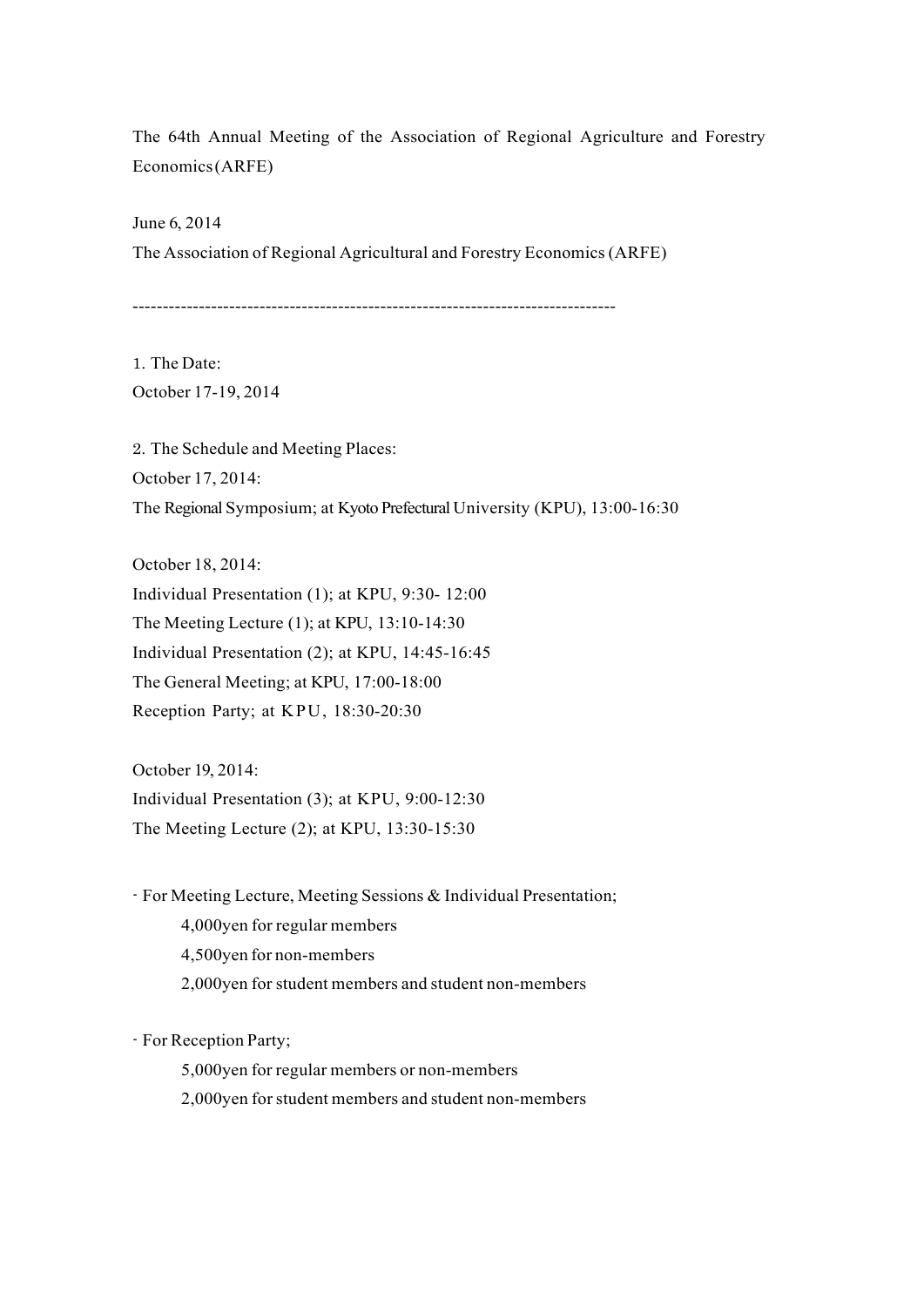The 64th Annual Meeting of the Association of Regional Agriculture and Forestry Economics (ARFE)

June 6, 2014 The Association of Regional Agricultural and Forestry Economics (ARFE)

--------------------------------------------------------------------------------

1. The Date: October 17-19, 2014

2. The Schedule and Meeting Places: October 17, 2014: The Regional Symposium; at Kyoto Prefectural University (KPU), 13:00-16:30

October 18, 2014: Individual Presentation (1); at KPU, 9:30- 12:00 The Meeting Lecture (1); at KPU, 13:10-14:30 Individual Presentation (2); at KPU, 14:45-16:45 The General Meeting; at KPU, 17:00-18:00 Reception Party; at KPU, 18:30-20:30

October 19, 2014: Individual Presentation (3); at KPU, 9:00-12:30 The Meeting Lecture (2); at KPU, 13:30-15:30

- For Meeting Lecture, Meeting Sessions & Individual Presentation;

- 4,000yen for regular members
- 4,500yen for non-members
- 2,000yen for student members and student non-members

- For Reception Party;

5,000yen for regular members or non-members

2,000yen for student members and student non-members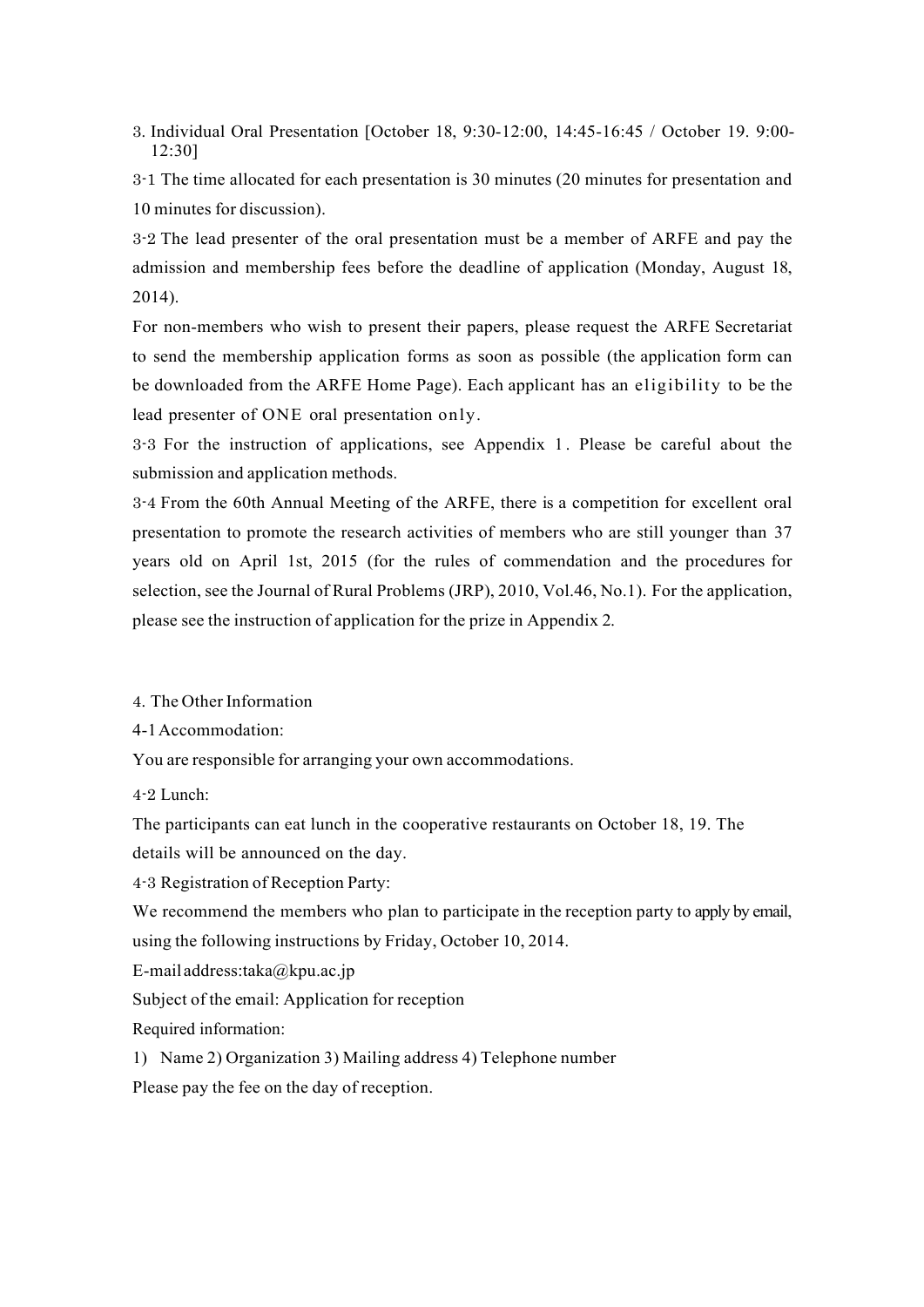3. Individual Oral Presentation [October 18, 9:30-12:00, 14:45-16:45 / October 19. 9:00- 12:30]

3-1 The time allocated for each presentation is 30 minutes (20 minutes for presentation and 10 minutes for discussion).

3-2 The lead presenter of the oral presentation must be a member of ARFE and pay the admission and membership fees before the deadline of application (Monday, August 18, 2014).

For non-members who wish to present their papers, please request the ARFE Secretariat to send the membership application forms as soon as possible (the application form can be downloaded from the ARFE Home Page). Each applicant has an eligibility to be the lead presenter of ONE oral presentation only.

3-3 For the instruction of applications, see Appendix 1 . Please be careful about the submission and application methods.

3-4 From the 60th Annual Meeting of the ARFE, there is a competition for excellent oral presentation to promote the research activities of members who are still younger than 37 years old on April 1st, 2015 (for the rules of commendation and the procedures for selection, see the Journal of Rural Problems (JRP), 2010, Vol.46, No.1). For the application, please see the instruction of application for the prize in Appendix 2.

4. The Other Information

4-1 Accommodation:

You are responsible for arranging your own accommodations.

4-2 Lunch:

The participants can eat lunch in the cooperative restaurants on October 18, 19. The details will be announced on the day.

4-3 Registration of Reception Party:

We recommend the members who plan to participate in the reception party to apply by email, using the following instructions by Friday, October 10, 2014.

E-mail address:taka@kpu.ac.jp

Subject of the email: Application for reception

Required information:

1) Name 2) Organization 3) Mailing address 4) Telephone number

Please pay the fee on the day of reception.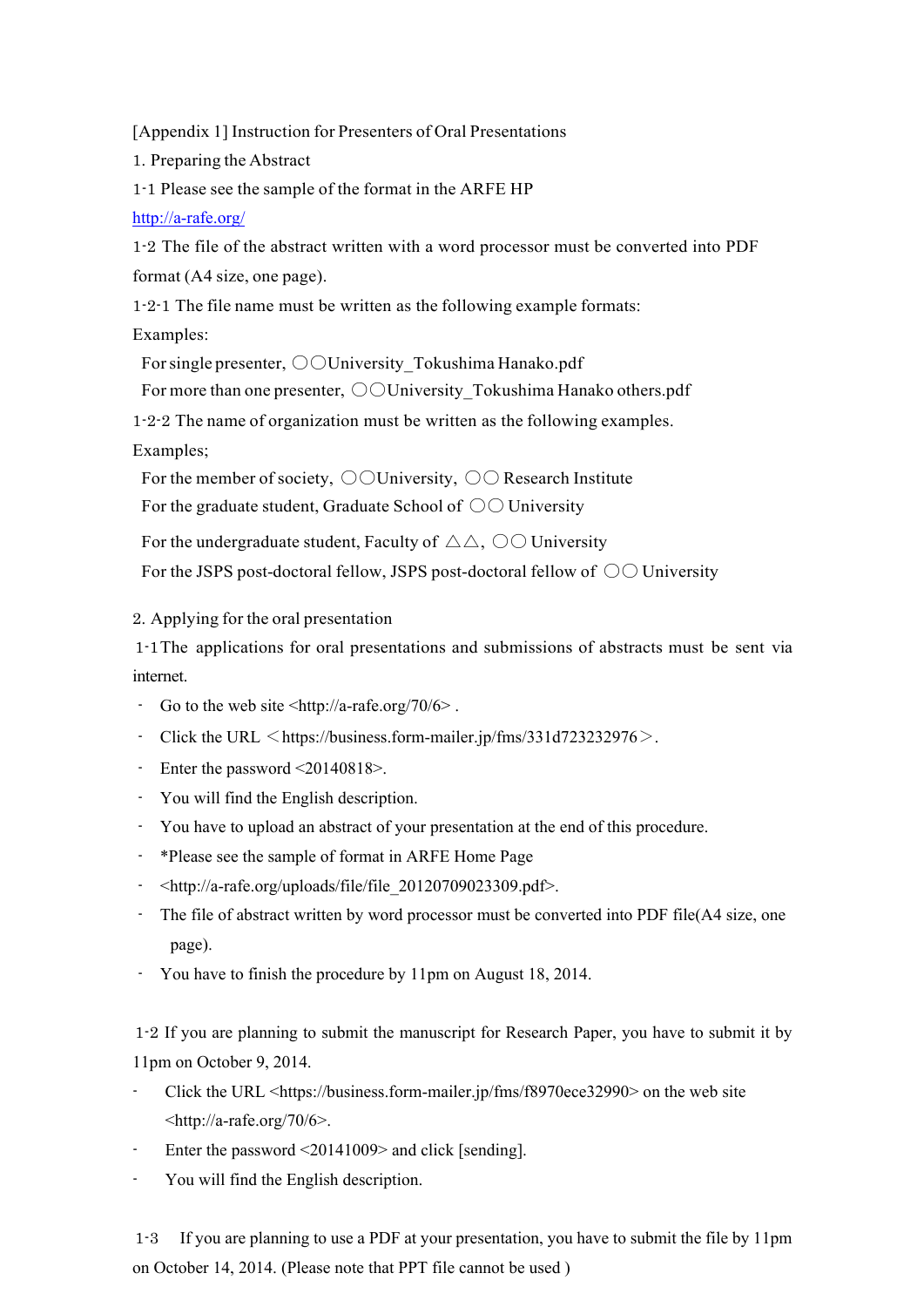[Appendix 1] Instruction for Presenters of Oral Presentations

1. Preparing the Abstract

1-1 Please see the sample of the format in the ARFE HP

## http://a-rafe.org/

1-2 The file of the abstract written with a word processor must be converted into PDF format (A4 size, one page).

1-2-1 The file name must be written as the following example formats:

Examples:

For single presenter,  $\bigcirc$  University Tokushima Hanako.pdf

For more than one presenter,  $\bigcirc$  University Tokushima Hanako others.pdf

1-2-2 The name of organization must be written as the following examples.

Examples;

For the member of society,  $\bigcirc$  University,  $\bigcirc$  Research Institute

For the graduate student, Graduate School of  $\circlearrowright\circlearrowright$  University

For the undergraduate student, Faculty of  $\triangle \triangle$ ,  $\odot \odot$  University

For the JSPS post-doctoral fellow, JSPS post-doctoral fellow of  $\circlearrowright\circlearrowright$  University

2. Applying for the oral presentation

1-1The applications for oral presentations and submissions of abstracts must be sent via internet.

- Go to the web site  $\langle \frac{h}{h} \cdot \frac{h}{h} \cdot \frac{h}{h} \cdot \frac{h}{h} \cdot \frac{h}{h} \cdot \frac{h}{h} \cdot \frac{h}{h} \cdot \frac{h}{h} \cdot \frac{h}{h} \cdot \frac{h}{h} \cdot \frac{h}{h} \cdot \frac{h}{h} \cdot \frac{h}{h} \cdot \frac{h}{h} \cdot \frac{h}{h} \cdot \frac{h}{h} \cdot \frac{h}{h} \cdot \frac{h}{h} \cdot \frac{h}{h} \cdot \frac{h}{h} \cdot \frac{h}{h} \cdot \frac{h}{h} \$
- Click the URL  $\leq$  https://business.form-mailer.jp/fms/331d723232976 $>$ .
- Enter the password <20140818>.
- You will find the English description.
- You have to upload an abstract of your presentation at the end of this procedure.
- \*Please see the sample of format in ARFE Home Page
- <http://a-rafe.org/uploads/file/file\_20120709023309.pdf>.
- The file of abstract written by word processor must be converted into PDF file(A4 size, one page).
- You have to finish the procedure by 11pm on August 18, 2014.

1-2 If you are planning to submit the manuscript for Research Paper, you have to submit it by 11pm on October 9, 2014.

- Click the URL <https://business.form-mailer.jp/fms/f8970ece32990> on the web site  $\langle$ http://a-rafe.org/70/6>.
- Enter the password  $\leq$ 20141009> and click [sending].
- You will find the English description.

1-3 If you are planning to use a PDF at your presentation, you have to submit the file by 11pm on October 14, 2014. (Please note that PPT file cannot be used )